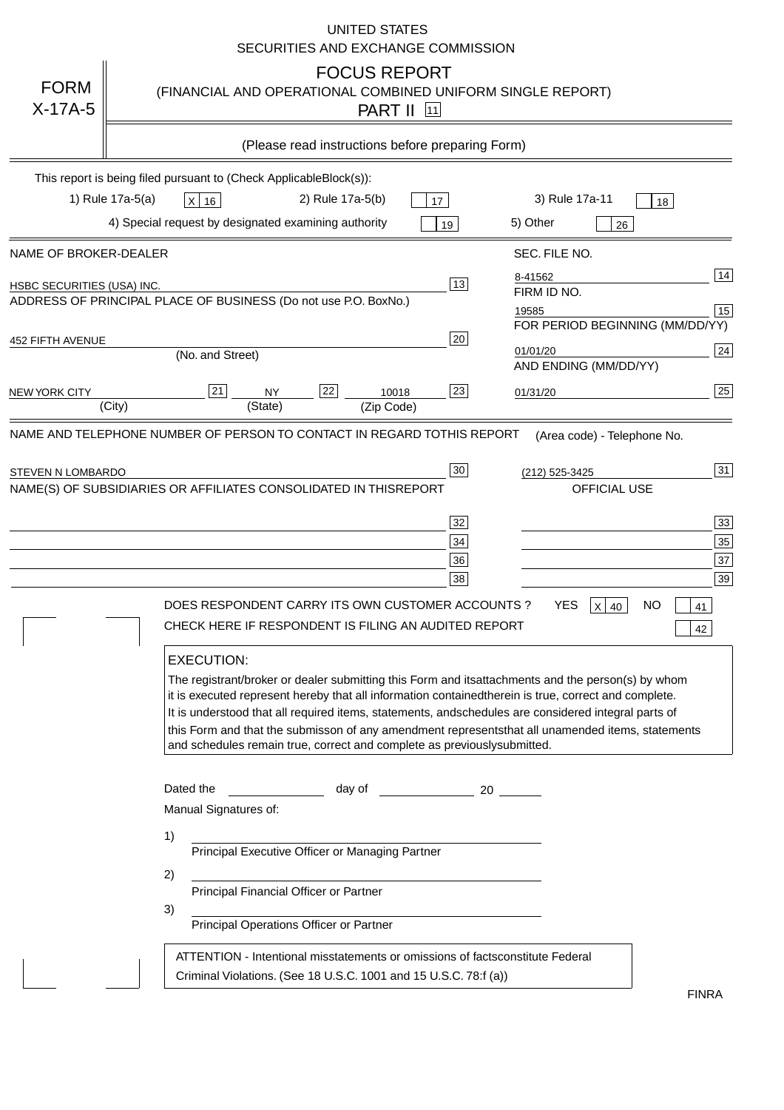|                            | <b>UNITED STATES</b><br>SECURITIES AND EXCHANGE COMMISSION                                                                                                                                                                                                                                                                                                                                                                                                                                                                                       |
|----------------------------|--------------------------------------------------------------------------------------------------------------------------------------------------------------------------------------------------------------------------------------------------------------------------------------------------------------------------------------------------------------------------------------------------------------------------------------------------------------------------------------------------------------------------------------------------|
| <b>FORM</b><br>$X-17A-5$   | <b>FOCUS REPORT</b><br>(FINANCIAL AND OPERATIONAL COMBINED UNIFORM SINGLE REPORT)<br><b>PART II</b> [11]                                                                                                                                                                                                                                                                                                                                                                                                                                         |
|                            | (Please read instructions before preparing Form)                                                                                                                                                                                                                                                                                                                                                                                                                                                                                                 |
|                            | This report is being filed pursuant to (Check Applicable<br>$Block(s)$ :<br>1) Rule 17a-5(a)<br>3) Rule 17a-11<br>2) Rule 17a-5(b)<br>$X$ 16<br>17<br>18<br>4) Special request by designated examining authority<br>5) Other<br>19<br>26                                                                                                                                                                                                                                                                                                         |
| NAME OF BROKER-DEALER      | SEC. FILE NO.                                                                                                                                                                                                                                                                                                                                                                                                                                                                                                                                    |
| HSBC SECURITIES (USA) INC. | 14<br>8-41562<br>13<br>FIRM ID NO.<br>ADDRESS OF PRINCIPAL PLACE OF BUSINESS (Do not use P.O. Box<br>No.)<br>15<br>19585<br>FOR PERIOD BEGINNING (MM/DD/YY)                                                                                                                                                                                                                                                                                                                                                                                      |
| <b>452 FIFTH AVENUE</b>    | 20<br> 24 <br>01/01/20<br>(No. and Street)<br>AND ENDING (MM/DD/YY)                                                                                                                                                                                                                                                                                                                                                                                                                                                                              |
| <b>NEW YORK CITY</b>       | 25<br>22<br>21<br>23<br><b>NY</b><br>10018<br>01/31/20<br>(City)<br>(State)<br>(Zip Code)                                                                                                                                                                                                                                                                                                                                                                                                                                                        |
| STEVEN N LOMBARDO          | 31<br>30<br>(212) 525-3425<br>NAME(S) OF SUBSIDIARIES OR AFFILIATES CONSOLIDATED IN THIS<br><b>REPORT</b><br><b>OFFICIAL USE</b><br>$\overline{33}$<br>32<br>35<br>$34$<br>37<br>36<br>39<br>38<br>$X$ 40<br>DOES RESPONDENT CARRY ITS OWN CUSTOMER ACCOUNTS?<br>YES<br>NO<br>41<br>CHECK HERE IF RESPONDENT IS FILING AN AUDITED REPORT<br>42<br><b>EXECUTION:</b>                                                                                                                                                                              |
|                            | The registrant/broker or dealer submitting this Form and its<br>attachments and the person(s) by whom<br>it is executed represent hereby that all information contained<br>therein is true, correct and complete.<br>It is understood that all required items, statements, and<br>schedules are considered integral parts of<br>this Form and that the submisson of any amendment represents<br>that all unamended items, statements<br>and schedules remain true, correct and complete as previously<br>submitted.<br>Dated the<br>day of<br>20 |
|                            | Manual Signatures of:<br>1)                                                                                                                                                                                                                                                                                                                                                                                                                                                                                                                      |
|                            | Principal Executive Officer or Managing Partner<br>2)                                                                                                                                                                                                                                                                                                                                                                                                                                                                                            |
|                            | Principal Financial Officer or Partner<br>3)<br>Principal Operations Officer or Partner                                                                                                                                                                                                                                                                                                                                                                                                                                                          |
|                            | constitute Federal<br>ATTENTION - Intentional misstatements or omissions of facts<br>Criminal Violations. (See 18 U.S.C. 1001 and 15 U.S.C. 78:f (a)<br>$\lambda$<br><b>FINRA</b>                                                                                                                                                                                                                                                                                                                                                                |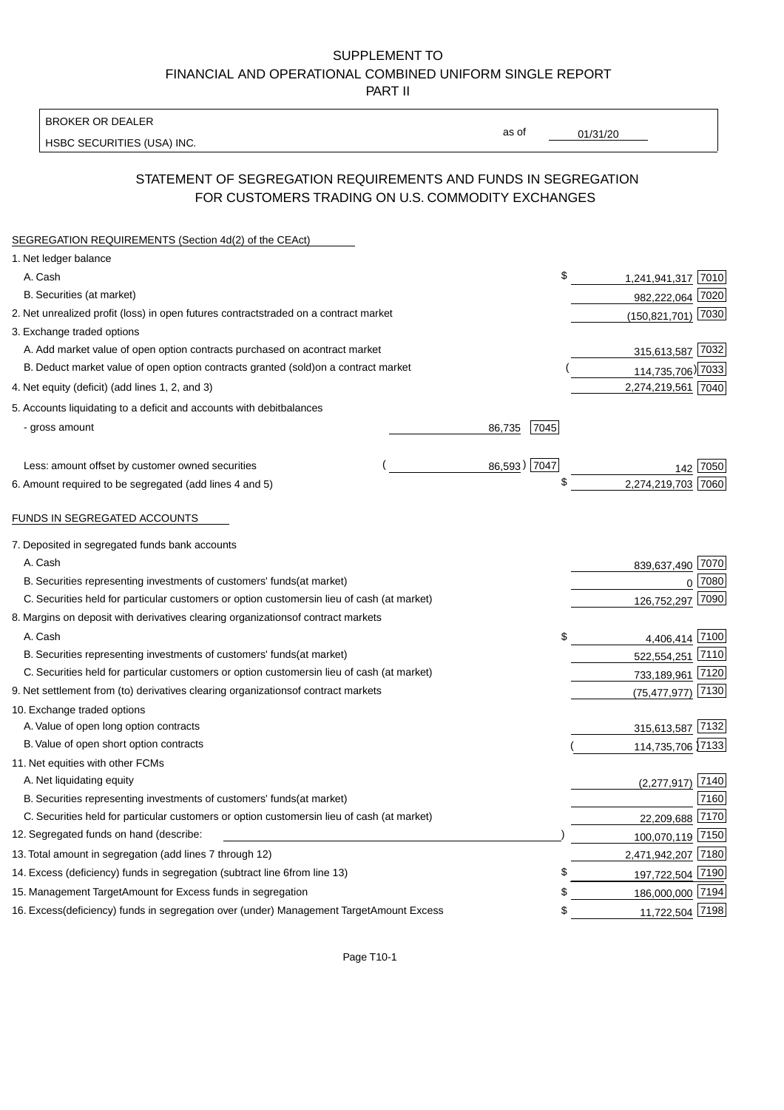BROKER OR DEALER

HSBC SECURITIES (USA) INC.

 $01/31/20$ 

as of

# STATEMENT OF SEGREGATION REQUIREMENTS AND FUNDS IN SEGREGATION FOR CUSTOMERS TRADING ON U.S. COMMODITY EXCHANGES

| SEGREGATION REQUIREMENTS (Section 4d(2) of the CEAct)                                          |              |                        |
|------------------------------------------------------------------------------------------------|--------------|------------------------|
| 1. Net ledger balance                                                                          |              |                        |
| A. Cash                                                                                        | \$           | 1,241,941,317 7010     |
| B. Securities (at market)                                                                      |              | 982,222,064 7020       |
| 2. Net unrealized profit (loss) in open futures contracts<br>traded on a contract market       |              | (150,821,701) 7030     |
| 3. Exchange traded options                                                                     |              |                        |
| A. Add market value of open option contracts purchased on a<br>contract market                 |              | 315,613,587 7032       |
| B. Deduct market value of open option contracts granted (sold)<br>on a contract market         |              | 114,735,706) 7033      |
| 4. Net equity (deficit) (add lines 1, 2, and 3)                                                |              | 2,274,219,561 7040     |
| 5. Accounts liquidating to a deficit and accounts with debit<br>balances                       |              |                        |
| - gross amount<br>86,735                                                                       | 7045         |                        |
|                                                                                                |              |                        |
| Less: amount offset by customer owned securities                                               | 86,593) 7047 |                        |
| 6. Amount required to be segregated (add lines 4 and 5)                                        | \$           | 2,274,219,703 7060     |
|                                                                                                |              |                        |
| FUNDS IN SEGREGATED ACCOUNTS                                                                   |              |                        |
| 7. Deposited in segregated funds bank accounts                                                 |              |                        |
| A. Cash                                                                                        |              | 839,637,490 7070       |
| B. Securities representing investments of customers' funds<br>(at market)                      |              | 7080<br>$\Omega$       |
| C. Securities held for particular customers or option customers<br>in lieu of cash (at market) |              | 7090<br>126,752,297    |
| 8. Margins on deposit with derivatives clearing organizations<br>of contract markets           |              |                        |
| A. Cash                                                                                        | \$           | 4,406,414 7100         |
| B. Securities representing investments of customers' funds<br>(at market)                      |              | 522,554,251 7110       |
| C. Securities held for particular customers or option customers<br>in lieu of cash (at market) |              | 733,189,961 7120       |
| 9. Net settlement from (to) derivatives clearing organizations<br>of contract markets          |              | 7130<br>(75, 477, 977) |
| 10. Exchange traded options                                                                    |              |                        |
| A. Value of open long option contracts                                                         |              | 315,613,587 7132       |
| B. Value of open short option contracts                                                        |              | 114,735,706 7133       |
| 11. Net equities with other FCMs                                                               |              |                        |
| A. Net liquidating equity                                                                      |              | 7140<br>(2, 277, 917)  |
| B. Securities representing investments of customers' funds<br>(at market)                      |              | 7160                   |
| C. Securities held for particular customers or option customers<br>in lieu of cash (at market) |              | 22,209,688 7170        |
| 12. Segregated funds on hand (describe:                                                        |              | 100,070,119 7150       |
| 13. Total amount in segregation (add lines 7 through 12)                                       |              | 2,471,942,207 7180     |
| 14. Excess (deficiency) funds in segregation (subtract line 6 from line 13)                    | £            | 197,722,504 7190       |
| 15. Management Target Amount for Excess funds in segregation                                   | \$           | 186,000,000 7194       |
| 16. Excess (deficiency) funds in segregation over (under) Management Target Amount Excess      | \$           | 11,722,504 7198        |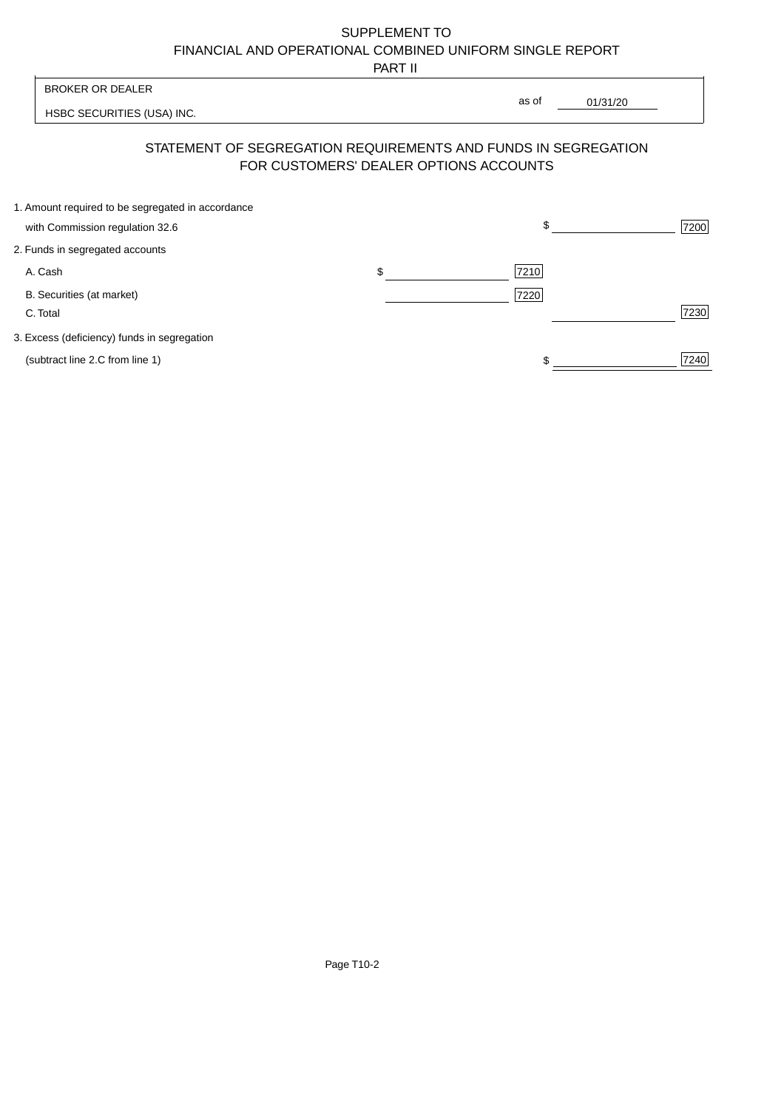PART II

| <b>BROKER OR DEALER</b>                                                                                  |       |          |      |
|----------------------------------------------------------------------------------------------------------|-------|----------|------|
| HSBC SECURITIES (USA) INC.                                                                               | as of | 01/31/20 |      |
| STATEMENT OF SEGREGATION REQUIREMENTS AND FUNDS IN SEGREGATION<br>FOR CUSTOMERS' DEALER OPTIONS ACCOUNTS |       |          |      |
| 1. Amount required to be segregated in accordance<br>with Commission regulation 32.6                     |       |          | 7200 |

ľ

| 2. Funds in segregated accounts             |    |      |      |
|---------------------------------------------|----|------|------|
| A. Cash                                     | ה. | 7210 |      |
| B. Securities (at market)                   |    | 7220 |      |
| C. Total                                    |    |      | 7230 |
| 3. Excess (deficiency) funds in segregation |    |      |      |
| (subtract line 2.C from line 1)             |    |      | 7240 |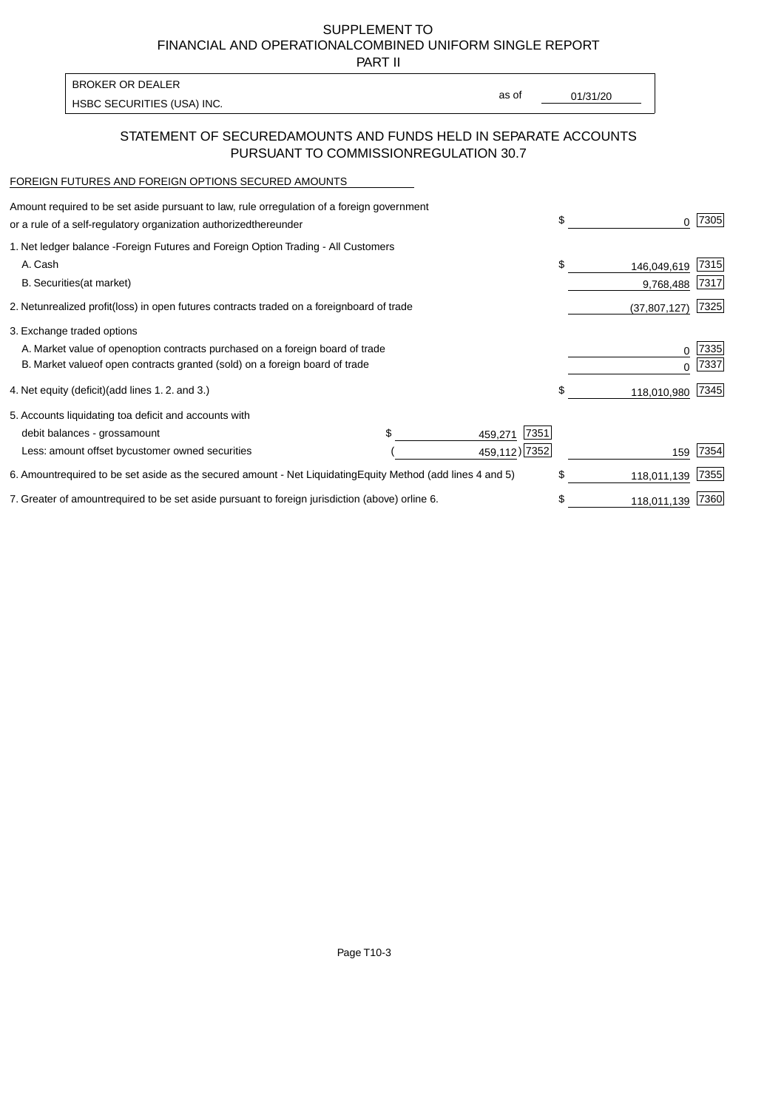PART II

HSBC SECURITIES (USA) INC. The state of the second second in the second second second second second second second second second second second second second second second second second second second second second second sec BROKER OR DEALER

as of

### STATEMENT OF SECURED AMOUNTS AND FUNDS HELD IN SEPARATE ACCOUNTS PURSUANT TO COMMISSION REGULATION 30.7

#### FOREIGN FUTURES AND FOREIGN OPTIONS SECURED AMOUNTS

| Amount required to be set aside pursuant to law, rule or<br>regulation of a foreign government<br>or a rule of a self-regulatory organization authorized<br>thereunder                       |                                   |                 | \$<br>0                        | 7305         |
|----------------------------------------------------------------------------------------------------------------------------------------------------------------------------------------------|-----------------------------------|-----------------|--------------------------------|--------------|
| 1. Net ledger balance - Foreign Futures and Foreign Option Trading - All Customers<br>A. Cash<br><b>B.</b> Securities<br>(at market)                                                         |                                   |                 | \$<br>146,049,619<br>9,768,488 | 7315<br>7317 |
| 2. Net unrealized profit (loss) in open futures contracts traded on a foreign                                                                                                                | board of trade                    |                 | (37, 807, 127)                 | 7325         |
| 3. Exchange traded options<br>A. Market value of open option contracts purchased on a foreign board of trade<br>B. Market value of open contracts granted (sold) on a foreign board of trade |                                   |                 | 0<br><sup>0</sup>              | 7335<br>7337 |
| 4. Net equity (deficit) (add lines 1.2. and 3.)                                                                                                                                              |                                   |                 | \$<br>118,010,980              | 7345         |
| 5. Accounts liquidating to a deficit and accounts with<br>debit balances - gross<br>amount                                                                                                   | \$.                               | 7351<br>459,271 |                                |              |
| Less: amount offset by customer owned securities                                                                                                                                             |                                   | 459,112) 7352   | 159                            | 7354         |
| 6. Amount required to be set aside as the secured amount - Net Liquidating                                                                                                                   | Equity Method (add lines 4 and 5) |                 | \$<br>118,011,139              | 7355         |
| 7. Greater of amount required to be set aside pursuant to foreign jurisdiction (above) or                                                                                                    | line 6.                           |                 | \$<br>118,011,139              | 7360         |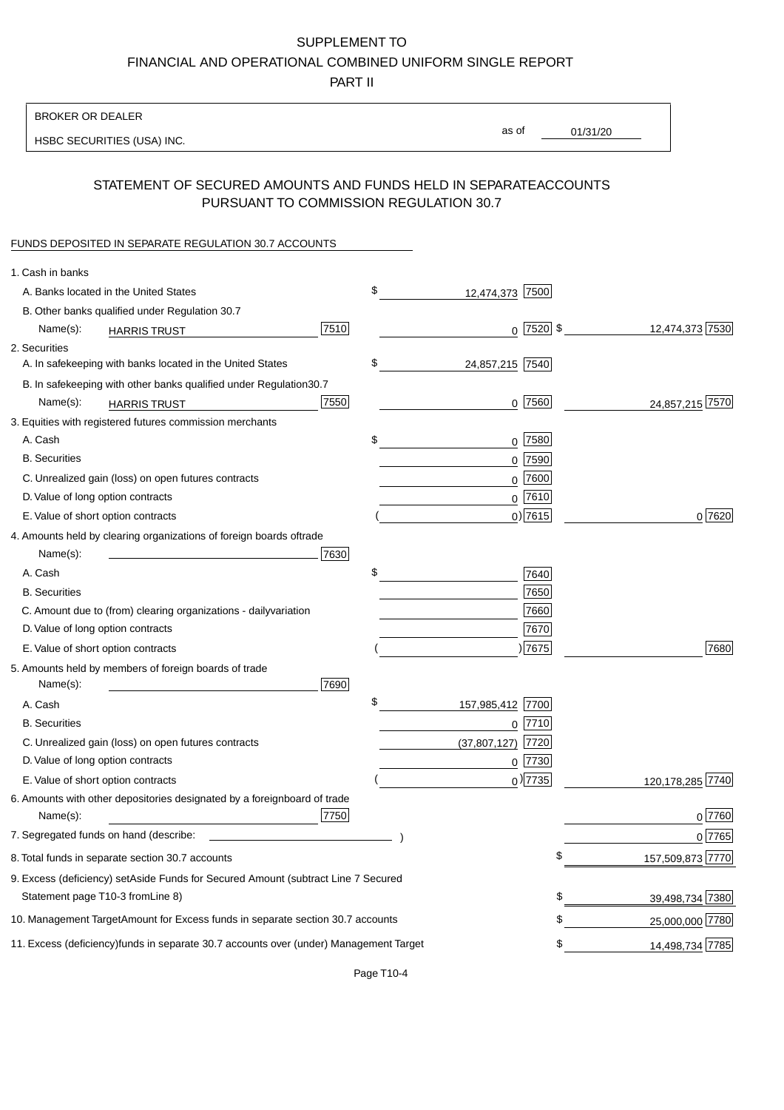PART II

| as of<br>01/31/20<br>HSBC SECURITIES (USA) INC.<br>STATEMENT OF SECURED AMOUNTS AND FUNDS HELD IN SEPARATE<br><b>ACCOUNTS</b><br>PURSUANT TO COMMISSION REGULATION 30.7<br>FUNDS DEPOSITED IN SEPARATE REGULATION 30.7 ACCOUNTS<br>1. Cash in banks<br>\$<br>A. Banks located in the United States<br>12,474,373 7500<br>B. Other banks qualified under Regulation 30.7<br>7510<br>$0$ 7520 \$<br>12,474,373 7530<br>Name(s):<br><b>HARRIS TRUST</b><br>2. Securities<br>\$<br>A. In safekeeping with banks located in the United States<br>24,857,215 7540<br>B. In safekeeping with other banks qualified under Regulation<br>30.7<br>7550<br>$0$ 7560<br>24,857,215 7570<br>Name(s):<br><b>HARRIS TRUST</b><br>3. Equities with registered futures commission merchants<br>$0$ 7580<br>A. Cash<br>\$<br><b>B.</b> Securities<br>7590<br>0<br>C. Unrealized gain (loss) on open futures contracts<br>$0$ 7600<br>$0^{7610}$<br>D. Value of long option contracts |
|--------------------------------------------------------------------------------------------------------------------------------------------------------------------------------------------------------------------------------------------------------------------------------------------------------------------------------------------------------------------------------------------------------------------------------------------------------------------------------------------------------------------------------------------------------------------------------------------------------------------------------------------------------------------------------------------------------------------------------------------------------------------------------------------------------------------------------------------------------------------------------------------------------------------------------------------------------------------|
|                                                                                                                                                                                                                                                                                                                                                                                                                                                                                                                                                                                                                                                                                                                                                                                                                                                                                                                                                                    |
|                                                                                                                                                                                                                                                                                                                                                                                                                                                                                                                                                                                                                                                                                                                                                                                                                                                                                                                                                                    |
|                                                                                                                                                                                                                                                                                                                                                                                                                                                                                                                                                                                                                                                                                                                                                                                                                                                                                                                                                                    |
|                                                                                                                                                                                                                                                                                                                                                                                                                                                                                                                                                                                                                                                                                                                                                                                                                                                                                                                                                                    |
|                                                                                                                                                                                                                                                                                                                                                                                                                                                                                                                                                                                                                                                                                                                                                                                                                                                                                                                                                                    |
|                                                                                                                                                                                                                                                                                                                                                                                                                                                                                                                                                                                                                                                                                                                                                                                                                                                                                                                                                                    |
|                                                                                                                                                                                                                                                                                                                                                                                                                                                                                                                                                                                                                                                                                                                                                                                                                                                                                                                                                                    |
|                                                                                                                                                                                                                                                                                                                                                                                                                                                                                                                                                                                                                                                                                                                                                                                                                                                                                                                                                                    |
|                                                                                                                                                                                                                                                                                                                                                                                                                                                                                                                                                                                                                                                                                                                                                                                                                                                                                                                                                                    |
|                                                                                                                                                                                                                                                                                                                                                                                                                                                                                                                                                                                                                                                                                                                                                                                                                                                                                                                                                                    |
|                                                                                                                                                                                                                                                                                                                                                                                                                                                                                                                                                                                                                                                                                                                                                                                                                                                                                                                                                                    |
|                                                                                                                                                                                                                                                                                                                                                                                                                                                                                                                                                                                                                                                                                                                                                                                                                                                                                                                                                                    |
|                                                                                                                                                                                                                                                                                                                                                                                                                                                                                                                                                                                                                                                                                                                                                                                                                                                                                                                                                                    |
|                                                                                                                                                                                                                                                                                                                                                                                                                                                                                                                                                                                                                                                                                                                                                                                                                                                                                                                                                                    |
|                                                                                                                                                                                                                                                                                                                                                                                                                                                                                                                                                                                                                                                                                                                                                                                                                                                                                                                                                                    |
|                                                                                                                                                                                                                                                                                                                                                                                                                                                                                                                                                                                                                                                                                                                                                                                                                                                                                                                                                                    |
|                                                                                                                                                                                                                                                                                                                                                                                                                                                                                                                                                                                                                                                                                                                                                                                                                                                                                                                                                                    |
| $0)$ 7615<br>0 7620<br>E. Value of short option contracts                                                                                                                                                                                                                                                                                                                                                                                                                                                                                                                                                                                                                                                                                                                                                                                                                                                                                                          |
| 4. Amounts held by clearing organizations of foreign boards of<br>trade                                                                                                                                                                                                                                                                                                                                                                                                                                                                                                                                                                                                                                                                                                                                                                                                                                                                                            |
| 7630<br>Name(s):                                                                                                                                                                                                                                                                                                                                                                                                                                                                                                                                                                                                                                                                                                                                                                                                                                                                                                                                                   |
| \$<br>A. Cash<br>7640                                                                                                                                                                                                                                                                                                                                                                                                                                                                                                                                                                                                                                                                                                                                                                                                                                                                                                                                              |
| 7650<br><b>B.</b> Securities                                                                                                                                                                                                                                                                                                                                                                                                                                                                                                                                                                                                                                                                                                                                                                                                                                                                                                                                       |
| 7660<br>C. Amount due to (from) clearing organizations - daily<br>variation                                                                                                                                                                                                                                                                                                                                                                                                                                                                                                                                                                                                                                                                                                                                                                                                                                                                                        |
| D. Value of long option contracts<br>7670                                                                                                                                                                                                                                                                                                                                                                                                                                                                                                                                                                                                                                                                                                                                                                                                                                                                                                                          |
| )7675<br>7680<br>E. Value of short option contracts                                                                                                                                                                                                                                                                                                                                                                                                                                                                                                                                                                                                                                                                                                                                                                                                                                                                                                                |
| 5. Amounts held by members of foreign boards of trade<br>Name(s):<br>7690                                                                                                                                                                                                                                                                                                                                                                                                                                                                                                                                                                                                                                                                                                                                                                                                                                                                                          |
| \$<br>157,985,412 7700<br>A. Cash                                                                                                                                                                                                                                                                                                                                                                                                                                                                                                                                                                                                                                                                                                                                                                                                                                                                                                                                  |
| <b>B.</b> Securities<br>$0$  7710                                                                                                                                                                                                                                                                                                                                                                                                                                                                                                                                                                                                                                                                                                                                                                                                                                                                                                                                  |
| C. Unrealized gain (loss) on open futures contracts<br>7720<br>(37, 807, 127)                                                                                                                                                                                                                                                                                                                                                                                                                                                                                                                                                                                                                                                                                                                                                                                                                                                                                      |
| D. Value of long option contracts<br>0 7730                                                                                                                                                                                                                                                                                                                                                                                                                                                                                                                                                                                                                                                                                                                                                                                                                                                                                                                        |
| $_0$ ) 7735<br>E. Value of short option contracts<br>120, 178, 285 7740                                                                                                                                                                                                                                                                                                                                                                                                                                                                                                                                                                                                                                                                                                                                                                                                                                                                                            |
| 6. Amounts with other depositories designated by a foreign<br>board of trade<br>7750<br>0 7760<br>Name(s):                                                                                                                                                                                                                                                                                                                                                                                                                                                                                                                                                                                                                                                                                                                                                                                                                                                         |
| 7. Segregated funds on hand (describe:<br>0 7765                                                                                                                                                                                                                                                                                                                                                                                                                                                                                                                                                                                                                                                                                                                                                                                                                                                                                                                   |
| \$<br>157,509,873 7770<br>8. Total funds in separate section 30.7 accounts                                                                                                                                                                                                                                                                                                                                                                                                                                                                                                                                                                                                                                                                                                                                                                                                                                                                                         |
| 9. Excess (deficiency) set Aside Funds for Secured Amount (subtract Line 7 Secured                                                                                                                                                                                                                                                                                                                                                                                                                                                                                                                                                                                                                                                                                                                                                                                                                                                                                 |
| Statement page T10-3 from Line 8)<br>\$<br>39,498,734 7380                                                                                                                                                                                                                                                                                                                                                                                                                                                                                                                                                                                                                                                                                                                                                                                                                                                                                                         |
| \$<br>10. Management Target Amount for Excess funds in separate section 30.7 accounts<br>25,000,000 7780                                                                                                                                                                                                                                                                                                                                                                                                                                                                                                                                                                                                                                                                                                                                                                                                                                                           |
| 11. Excess (deficiency) funds in separate 30.7 accounts over (under) Management Target<br>14,498,734 7785<br>\$                                                                                                                                                                                                                                                                                                                                                                                                                                                                                                                                                                                                                                                                                                                                                                                                                                                    |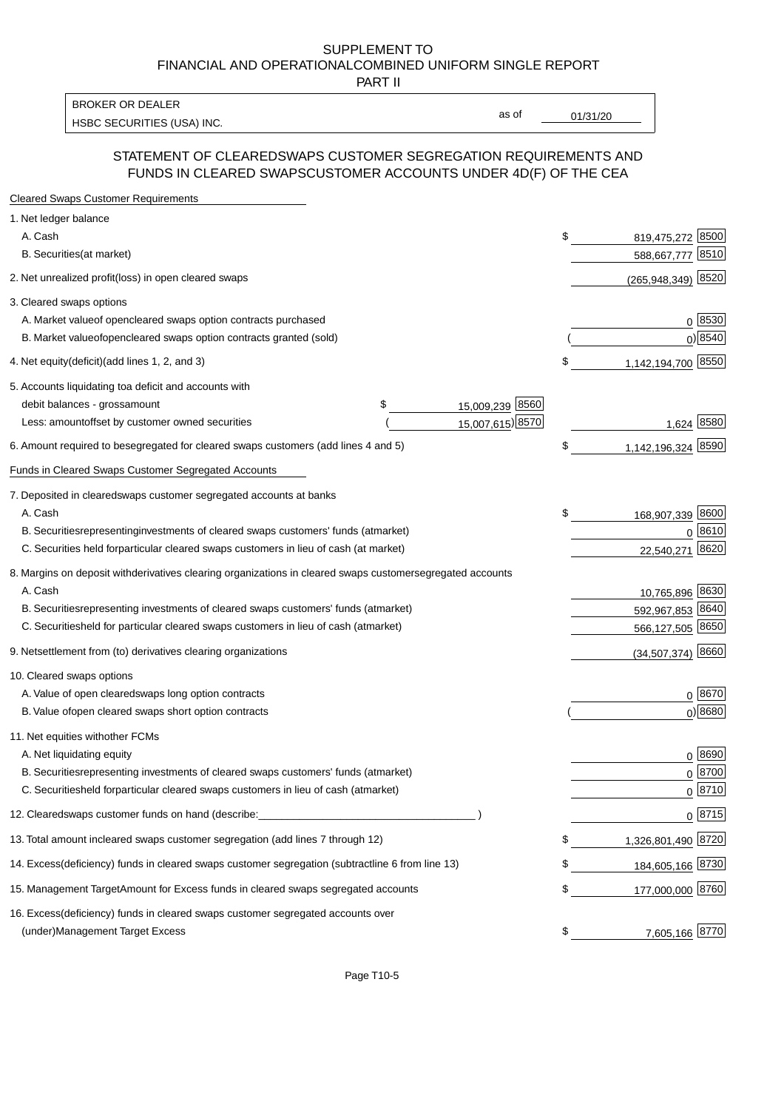PART II

HSBC SECURITIES (USA) INC. The contract of the contract of the contract of the contract of the contract of the contract of the contract of the contract of the contract of the contract of the contract of the contract of the BROKER OR DEALER

as of

#### STATEMENT OF CLEARED SWAPS CUSTOMER SEGREGATION REQUIREMENTS AND FUNDS IN CLEARED SWAPS CUSTOMER ACCOUNTS UNDER 4D(F) OF THE CEA

| <b>Cleared Swaps Customer Requirements</b>                                                                  |                           |
|-------------------------------------------------------------------------------------------------------------|---------------------------|
| 1. Net ledger balance                                                                                       |                           |
| A. Cash                                                                                                     | \$<br>8500<br>819,475,272 |
| B. Securities (at market)                                                                                   | 8510<br>588,667,777       |
| 2. Net unrealized profit (loss) in open cleared swaps                                                       | $(265,948,349)$ 8520      |
| 3. Cleared swaps options                                                                                    |                           |
| A. Market value of open cleared swaps option contracts purchased                                            | $0^{8530}$                |
| B. Market value of open cleared swaps option contracts granted (sold)                                       | $0)$ 8540                 |
| 4. Net equity (deficit) (add lines 1, 2, and 3)                                                             | \$<br>1,142,194,700 8550  |
| 5. Accounts liquidating to a deficit and accounts with                                                      |                           |
| 15,009,239 8560<br>debit balances - gross<br>\$<br>amount                                                   |                           |
| 15,007,615) 8570<br>Less: amount offset by customer owned securities                                        | 1,624 8580                |
| 6. Amount required to be segregated for cleared swaps customers (add lines 4 and 5)                         | \$<br>1,142,196,324 8590  |
| Funds in Cleared Swaps Customer Segregated Accounts                                                         |                           |
| 7. Deposited in cleared swaps customer segregated accounts at banks                                         |                           |
| A. Cash                                                                                                     | \$<br>168,907,339 8600    |
| B. Securities representing investments of cleared swaps customers' funds (at market)                        | $0^{8610}$                |
| C. Securities held for particular cleared swaps customers in lieu of cash (at market)                       | 8620<br>22,540,271        |
| 8. Margins on deposit with derivatives clearing organizations in cleared swaps customer segregated accounts |                           |
| A. Cash                                                                                                     | 10,765,896 8630           |
| B. Securities representing investments of cleared swaps customers' funds (at market)                        | 8640<br>592,967,853       |
| C. Securities<br>held for particular cleared swaps customers in lieu of cash (at market)                    | 566,127,505 8650          |
| 9. Net settlement from (to) derivatives clearing organizations                                              | $(34,507,374)$ 8660       |
| 10. Cleared swaps options                                                                                   |                           |
| A. Value of open cleared swaps long option contracts                                                        | $0^{8670}$                |
| B. Value of open cleared swaps short option contracts                                                       | $0$ ) 8680                |
| 11. Net equities with other FCMs                                                                            |                           |
| A. Net liquidating equity                                                                                   | $0^{8690}$                |
| B. Securities representing investments of cleared swaps customers' funds (at market)                        | $0^{8700}$                |
| C. Securities held for particular cleared swaps customers in lieu of cash (at market)                       | 0 8710                    |
| 12. Cleared swaps customer funds on hand (describe:                                                         | $0 \;  8715 $             |
| 13. Total amount in cleared swaps customer segregation (add lines 7 through 12)                             | \$<br>1,326,801,490 8720  |
| 14. Excess (deficiency) funds in cleared swaps customer segregation (subtract line 6 from line 13)          | 184,605,166 8730          |
| 15. Management Target Amount for Excess funds in cleared swaps segregated accounts                          | \$<br>177,000,000 8760    |
| 16. Excess<br>(deficiency) funds in cleared swaps customer segregated accounts over                         |                           |
| <b>Management Target Excess</b><br>(under)                                                                  | \$<br>7,605,166 8770      |